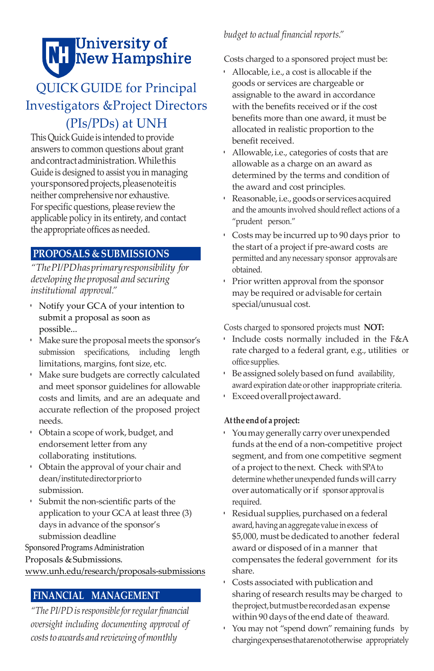# **NH** University of<br>NH New Hampshire

## QUICK GUIDE for Principal Investigators &Project Directors (PIs/PDs) at UNH

This Quick Guide is intended to provide answers to common questions about grant andcontractadministration. Whilethis Guide is designed to assist you in managing yoursponsoredprojects,pleasenoteitis neither comprehensive nor exhaustive. For specific questions, please review the applicable policy in its entirety, and contact the appropriate offices as needed.

## **PROPOSALS & SUBMISSIONS**

*"ThePI/PDhasprimaryresponsibility for developing the proposal and securing institutional approval."*

- Notify your GCA of your intention to submit a proposal as soon as possible...
- Make sure theproposal meets the sponsor's submission specifications, including length limitations, margins, font size, etc.
- Make sure budgets are correctly calculated and meet sponsor guidelines for allowable costs and limits, and are an adequate and accurate reflection of the proposed project needs.
- Obtain a scope of work, budget, and endorsement letter from any collaborating institutions.
- Obtain the approval of your chair and dean/institutedirectorpriorto submission.
- Submit the non-scientific parts of the application to your GCA at least three (3) days in advance of the sponsor's submission deadline

Sponsored Programs Administration

Proposals & Submissions.

[www.unh.edu/research/proposals-submissions](http://www.unh.edu/research/proposals-submissions)

## **FINANCIAL MANAGEMENT**

*"The PI/PDisresponsibleforregularfinancial oversight including documenting approval of coststo awards and reviewing ofmonthly*

### *budget to actual financial reports."*

Costs charged to a sponsored project must be:

- Allocable, i.e., a cost is allocable if the goods or services are chargeable or assignable to the award in accordance with the benefits received or if the cost benefits more than one award, it must be allocated in realistic proportion to the benefit received.
- Allowable,i.e., categories of costs that are allowable as a charge on an award as determined by the terms and condition of the award and cost principles.
- Reasonable,i.e.,goodsor servicesacquired and the amounts involved should reflect actions of a "prudent person."
- Costs may be incurred up to 90 days prior to the start of a project if pre-award costs are permitted and anynecessary sponsor approvals are obtained.
- Prior written approval from the sponsor may be required or advisable for certain special/unusual cost.

Costs charged to sponsored projects must **NOT:**

- Include costs normally included in the F&A rate charged to a federal grant, e.g., utilities or office supplies.
- Be assigned solely based on fund availability, awardexpiration date or other inappropriate criteria.
- Exceedoverallprojectaward.

#### **Atthe endof aproject:**

- Youmaygenerallycarry overunexpended funds at the end of a non-competitive project segment, and from one competitive segment of a project to the next. Check with SPAto determine whether unexpended funds will carry over automatically orif sponsor approval is required.
- Residual supplies, purchased on a federal award, having an aggregate value in excess of \$5,000, must be dedicated to another federal award or disposed of in a manner that compensates the federal government forits share.
- Costs associated with publication and sharing of research results may be charged to theproject,butmustberecordedasan expense within 90 days of the end date of theaward.
- You may not "spend down" remaining funds by chargingexpensesthatarenototherwise appropriately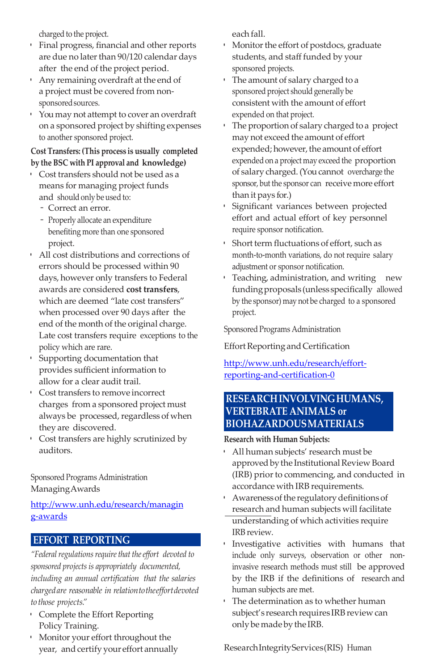charged to the project.

- Final progress, financial and other reports are due no later than 90/120 calendar days after the end of the project period.
- Any remaining overdraft at the end of a project must be covered from nonsponsored sources.
- Youmay not attempt to cover an overdraft on a sponsored project by shifting expenses to another sponsored project.

#### **Cost Transfers: (This process is usually completed by the BSC with PI approval and knowledge)**

- Cost transfers should not be used as a means for managing project funds and shouldonly be used to:
	- Correct an error.
	- Properly allocate an expenditure benefiting more than one sponsored project.
- All cost distributions and corrections of errors should be processed within 90 days, however only transfers to Federal awards are considered **cost transfers**, which are deemed "late cost transfers" when processed over 90 days after the end of the month of the original charge. Late cost transfers require exceptions to the policy which are rare.
- Supporting documentation that provides sufficient information to allow for a clear audit trail.
- Cost transfers to remove incorrect charges from a sponsored project must always be processed, regardless of when they are discovered.
- Cost transfers are highly scrutinized by auditors.

Sponsored Programs Administration ManagingAwards

#### [http://www.unh.edu/research/managin](http://www.unh.edu/research/managing-awards) [g-awards](http://www.unh.edu/research/managing-awards)

#### **EFFORT REPORTING**

"Federal regulations require that the effort devoted to *sponsored projects is appropriately documented, including an annual certification that the salaries chargedare reasonable in relationtotheeffortdevoted to those projects."*

- Complete the Effort Reporting Policy Training.
- Monitor your effort throughout the year, and certify your effort annually

each fall.

- Monitor the effort of postdocs, graduate students, and staff funded by your sponsored projects.
- The amount of salary charged to a sponsored project should generally be consistent with the amount of effort expended on that project.
- The proportion of salary charged to a project may not exceed the amount of effort expended; however, the amount of effort expended on a project may exceed the proportion of salary charged. (Youcannot overcharge the sponsor, but the sponsor can receive more effort than it pays for.)
- Significant variances between projected effort and actual effort of key personnel require sponsor notification.
- Short term fluctuations of effort, such as month-to-month variations, do not require salary adjustment or sponsor notification.
- Teaching, administration, and writing new fundingproposals (unless specifically allowed by the sponsor) may not be charged to a sponsored project.

Sponsored Programs Administration

Effort Reporting and Certification

#### [http://www.unh.edu/research/effort](http://www.unh.edu/research/effort-reporting-and-certification-0)[reporting-and-certification-0](http://www.unh.edu/research/effort-reporting-and-certification-0)

#### **RESEARCHINVOLVINGHUMANS, VERTEBRATE ANIMALS or BIOHAZARDOUSMATERIALS**

#### **Research with Human Subjects:**

- All human subjects' research must be approved by the Institutional Review Board (IRB) priorto commencing, and conducted in accordance with IRB requirements.
- Awarenessofthe regulatorydefinitionsof research and human subjects will facilitate understanding of which activities require IRBreview.
- Investigative activities with humans that include only surveys, observation or other noninvasive research methods must still be approved by the IRB if the definitions of research and human subjects are met.
- The determination as to whether human subject's research requires IRB review can onlybemadebytheIRB.

ResearchIntegrityServices(RIS) Human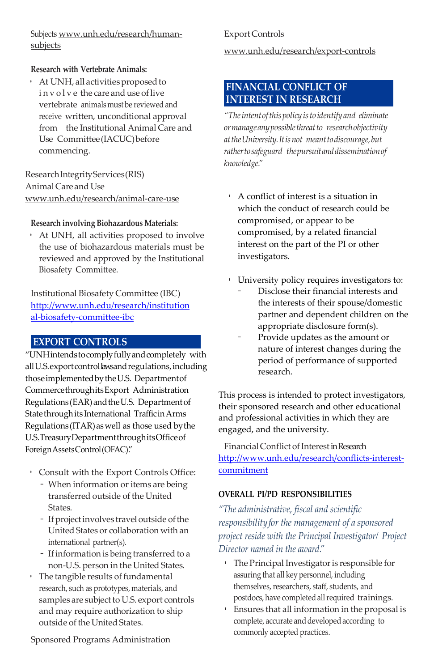Subjects [www.unh.edu/research/human](http://www.unh.edu/research/human-subjects)[subjects](http://www.unh.edu/research/human-subjects)

#### **Research with Vertebrate Animals:**

• At UNH, all activities proposed to involve the care and use of live vertebrate animalsmust be reviewed and receive written, unconditional approval from the Institutional Animal Care and Use Committee(IACUC)before commencing.

ResearchIntegrityServices(RIS) Animal Care and Use [www.unh.edu/research/animal-care-use](http://www.unh.edu/research/animal-care-use)

#### **Research involving Biohazardous Materials:**

• At UNH, all activities proposed to involve the use of biohazardous materials must be reviewed and approved by the Institutional Biosafety Committee.

Institutional Biosafety Committee (IBC) [http://www.unh.edu/research/institution](http://www.unh.edu/research/institutional-biosafety-committee-ibc) [al-biosafety-committee-ibc](http://www.unh.edu/research/institutional-biosafety-committee-ibc)

#### **EXPORT CONTROLS**

"UNHintendstocomplyfullyandcompletely with allU.S.exportcontrollawsandregulations,including thoseimplementedbytheU.S. Departmentof CommercethroughitsExport Administration Regulations (EAR) and the U.S. Department of Statethroughits International TrafficinArms Regulations (ITAR)aswell as those used bythe U.S.TreasuryDepartmentthroughitsOfficeof ForeignAssetsControl(OFAC)."

- Consult with the Export Controls Office:
	- When information or items are being transferred outside of the United **States**
	- If project involves travel outside of the United States or collaboration with an international partner(s).
	- Ifinformation is being transferred to a non-U.S. person in the United States.
- $\cdot$  The tangible results of fundamental research, such as prototypes, materials, and samples are subject to U.S. export controls and may require authorization to ship outside of the United States.

Export Controls

[www.unh.edu/research/export-controls](http://www.unh.edu/research/export-controls)

#### **FINANCIAL CONFLICT OF INTEREST IN RESEARCH**

*"Theintentofthispolicy isto identify and eliminate ormanageanypossiblethreatto researchobjectivity attheUniversity.Itisnot meanttodiscourage,but rathertosafeguard thepursuitanddisseminationof knowledge."*

- A conflict of interest is a situation in which the conduct of research could be compromised, or appear to be compromised, by a related financial interest on the part of the PI or other investigators.
- University policy requires investigators to:
	- Disclose their financial interests and the interests of their spouse/domestic partner and dependent children on the appropriate disclosure form(s).
	- Provide updates as the amount or nature of interest changes during the period of performance of supported research.

This process is intended to protect investigators, their sponsored research and other educational and professional activities in which they are engaged, and the university.

Financial Conflict of Interest in Research [http://www.unh.edu/research/conflicts-interest](http://www.unh.edu/research/conflicts-interest-commitment)[commitment](http://www.unh.edu/research/conflicts-interest-commitment)

#### **OVERALL PI/PD RESPONSIBILITIES**

*"The administrative, fiscal and scientific responsibilityfor the management of a sponsored project reside with the Principal Investigator/ Project Director named in the award."*

- The Principal Investigator is responsible for assuring that all key personnel, including themselves, researchers, staff, students, and postdocs, have completed all required trainings.
- Ensures that all information in the proposal is complete, accurate and developed according to commonly accepted practices.

Sponsored Programs Administration